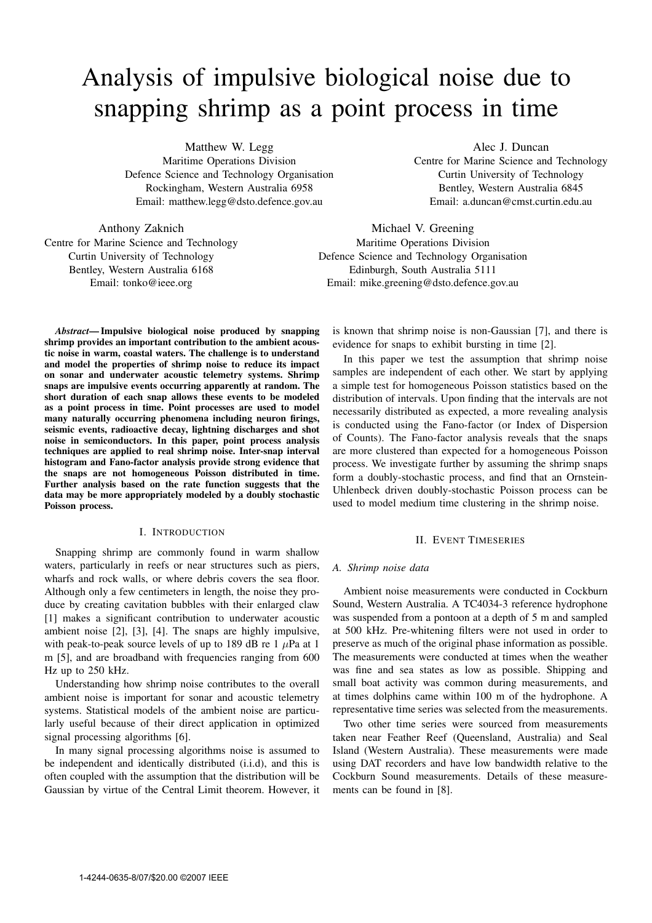# Analysis of impulsive biological noise due to snapping shrimp as a point process in time

Matthew W. Legg Maritime Operations Division Defence Science and Technology Organisation Rockingham, Western Australia 6958 Email: matthew.legg@dsto.defence.gov.au

Alec J. Duncan Centre for Marine Science and Technology Curtin University of Technology Bentley, Western Australia 6845 Email: a.duncan@cmst.curtin.edu.au

Anthony Zaknich Centre for Marine Science and Technology Curtin University of Technology Bentley, Western Australia 6168 Email: tonko@ieee.org

Michael V. Greening Maritime Operations Division Defence Science and Technology Organisation Edinburgh, South Australia 5111 Email: mike.greening@dsto.defence.gov.au

*Abstract***— Impulsive biological noise produced by snapping shrimp provides an important contribution to the ambient acoustic noise in warm, coastal waters. The challenge is to understand and model the properties of shrimp noise to reduce its impact on sonar and underwater acoustic telemetry systems. Shrimp snaps are impulsive events occurring apparently at random. The short duration of each snap allows these events to be modeled as a point process in time. Point processes are used to model many naturally occurring phenomena including neuron firings, seismic events, radioactive decay, lightning discharges and shot noise in semiconductors. In this paper, point process analysis techniques are applied to real shrimp noise. Inter-snap interval histogram and Fano-factor analysis provide strong evidence that the snaps are not homogeneous Poisson distributed in time. Further analysis based on the rate function suggests that the data may be more appropriately modeled by a doubly stochastic Poisson process.**

### I. INTRODUCTION

Snapping shrimp are commonly found in warm shallow waters, particularly in reefs or near structures such as piers, wharfs and rock walls, or where debris covers the sea floor. Although only a few centimeters in length, the noise they produce by creating cavitation bubbles with their enlarged claw [1] makes a significant contribution to underwater acoustic ambient noise [2], [3], [4]. The snaps are highly impulsive, with peak-to-peak source levels of up to 189 dB re 1  $\mu$ Pa at 1 m [5], and are broadband with frequencies ranging from 600 Hz up to 250 kHz.

Understanding how shrimp noise contributes to the overall ambient noise is important for sonar and acoustic telemetry systems. Statistical models of the ambient noise are particularly useful because of their direct application in optimized signal processing algorithms [6].

In many signal processing algorithms noise is assumed to be independent and identically distributed (i.i.d), and this is often coupled with the assumption that the distribution will be Gaussian by virtue of the Central Limit theorem. However, it is known that shrimp noise is non-Gaussian [7], and there is evidence for snaps to exhibit bursting in time [2].

In this paper we test the assumption that shrimp noise samples are independent of each other. We start by applying a simple test for homogeneous Poisson statistics based on the distribution of intervals. Upon finding that the intervals are not necessarily distributed as expected, a more revealing analysis is conducted using the Fano-factor (or Index of Dispersion of Counts). The Fano-factor analysis reveals that the snaps are more clustered than expected for a homogeneous Poisson process. We investigate further by assuming the shrimp snaps form a doubly-stochastic process, and find that an Ornstein-Uhlenbeck driven doubly-stochastic Poisson process can be used to model medium time clustering in the shrimp noise.

#### II. EVENT TIMESERIES

#### *A. Shrimp noise data*

Ambient noise measurements were conducted in Cockburn Sound, Western Australia. A TC4034-3 reference hydrophone was suspended from a pontoon at a depth of 5 m and sampled at 500 kHz. Pre-whitening filters were not used in order to preserve as much of the original phase information as possible. The measurements were conducted at times when the weather was fine and sea states as low as possible. Shipping and small boat activity was common during measurements, and at times dolphins came within 100 m of the hydrophone. A representative time series was selected from the measurements.

Two other time series were sourced from measurements taken near Feather Reef (Queensland, Australia) and Seal Island (Western Australia). These measurements were made using DAT recorders and have low bandwidth relative to the Cockburn Sound measurements. Details of these measurements can be found in [8].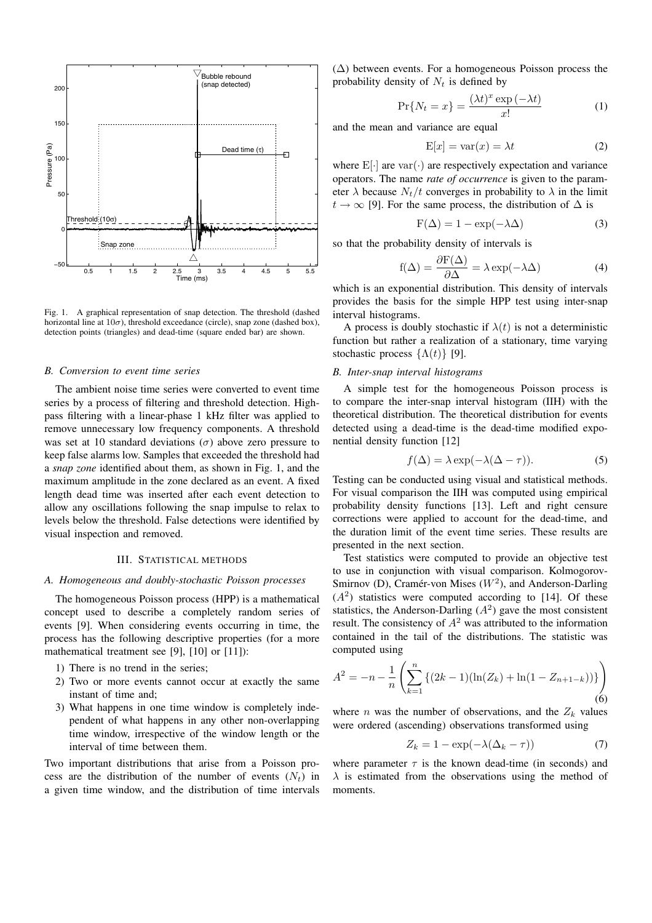

Fig. 1. A graphical representation of snap detection. The threshold (dashed horizontal line at  $10\sigma$ ), threshold exceedance (circle), snap zone (dashed box), detection points (triangles) and dead-time (square ended bar) are shown.

#### *B. Conversion to event time series*

The ambient noise time series were converted to event time series by a process of filtering and threshold detection. Highpass filtering with a linear-phase 1 kHz filter was applied to remove unnecessary low frequency components. A threshold was set at 10 standard deviations ( $\sigma$ ) above zero pressure to keep false alarms low. Samples that exceeded the threshold had a *snap zone* identified about them, as shown in Fig. 1, and the maximum amplitude in the zone declared as an event. A fixed length dead time was inserted after each event detection to allow any oscillations following the snap impulse to relax to levels below the threshold. False detections were identified by visual inspection and removed.

#### III. STATISTICAL METHODS

## *A. Homogeneous and doubly-stochastic Poisson processes*

The homogeneous Poisson process (HPP) is a mathematical concept used to describe a completely random series of events [9]. When considering events occurring in time, the process has the following descriptive properties (for a more mathematical treatment see [9], [10] or [11]):

- 1) There is no trend in the series;
- 2) Two or more events cannot occur at exactly the same instant of time and;
- 3) What happens in one time window is completely independent of what happens in any other non-overlapping time window, irrespective of the window length or the interval of time between them.

Two important distributions that arise from a Poisson process are the distribution of the number of events  $(N_t)$  in a given time window, and the distribution of time intervals  $(\Delta)$  between events. For a homogeneous Poisson process the probability density of  $N_t$  is defined by

$$
\Pr\{N_t = x\} = \frac{(\lambda t)^x \exp\left(-\lambda t\right)}{x!} \tag{1}
$$

and the mean and variance are equal

$$
E[x] = var(x) = \lambda t
$$
 (2)

where  $E[\cdot]$  are var $(\cdot)$  are respectively expectation and variance operators. The name *rate of occurrence* is given to the parameter  $\lambda$  because  $N_t/t$  converges in probability to  $\lambda$  in the limit  $t \to \infty$  [9]. For the same process, the distribution of  $\Delta$  is

$$
F(\Delta) = 1 - \exp(-\lambda \Delta)
$$
 (3)

so that the probability density of intervals is

$$
f(\Delta) = \frac{\partial F(\Delta)}{\partial \Delta} = \lambda \exp(-\lambda \Delta)
$$
 (4)

which is an exponential distribution. This density of intervals provides the basis for the simple HPP test using inter-snap interval histograms.

A process is doubly stochastic if  $\lambda(t)$  is not a deterministic function but rather a realization of a stationary, time varying stochastic process  $\{\Lambda(t)\}\$  [9].

# *B. Inter-snap interval histograms*

A simple test for the homogeneous Poisson process is to compare the inter-snap interval histogram (IIH) with the theoretical distribution. The theoretical distribution for events detected using a dead-time is the dead-time modified exponential density function [12]

$$
f(\Delta) = \lambda \exp(-\lambda(\Delta - \tau)).
$$
 (5)

Testing can be conducted using visual and statistical methods. For visual comparison the IIH was computed using empirical probability density functions [13]. Left and right censure corrections were applied to account for the dead-time, and the duration limit of the event time series. These results are presented in the next section.

Test statistics were computed to provide an objective test to use in conjunction with visual comparison. Kolmogorov-Smirnov (D), Cramér-von Mises  $(W^2)$ , and Anderson-Darling  $(A<sup>2</sup>)$  statistics were computed according to [14]. Of these statistics, the Anderson-Darling  $(A^2)$  gave the most consistent result. The consistency of  $A^2$  was attributed to the information contained in the tail of the distributions. The statistic was computed using

$$
A^{2} = -n - \frac{1}{n} \left( \sum_{k=1}^{n} \left\{ (2k-1)(\ln(Z_{k}) + \ln(1 - Z_{n+1-k})) \right\} \right)
$$
(6)

where *n* was the number of observations, and the  $Z_k$  values were ordered (ascending) observations transformed using

$$
Z_k = 1 - \exp(-\lambda(\Delta_k - \tau))
$$
\n(7)

where parameter  $\tau$  is the known dead-time (in seconds) and  $\lambda$  is estimated from the observations using the method of moments.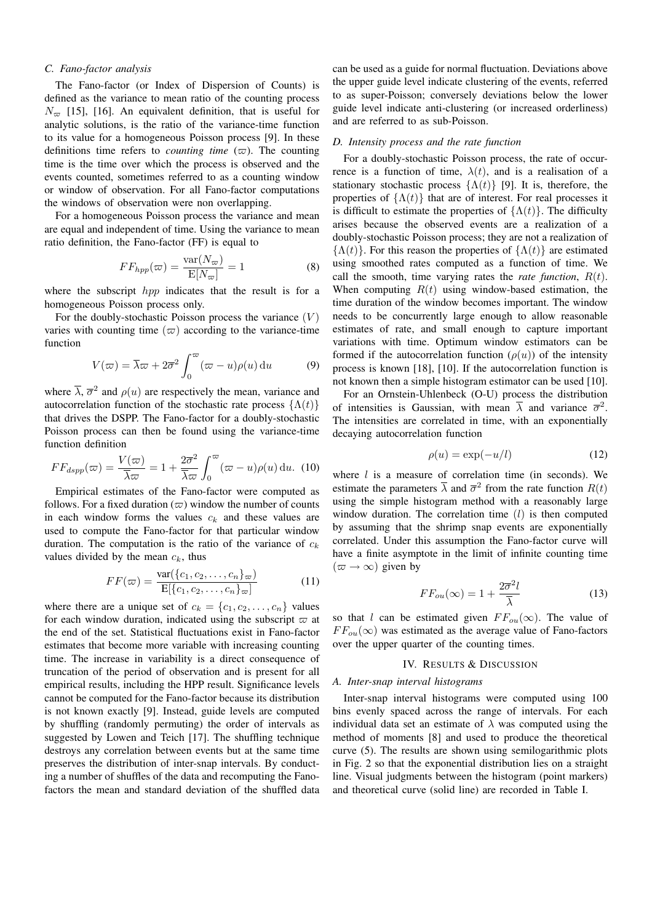# *C. Fano-factor analysis*

The Fano-factor (or Index of Dispersion of Counts) is defined as the variance to mean ratio of the counting process  $N_{\infty}$  [15], [16]. An equivalent definition, that is useful for analytic solutions, is the ratio of the variance-time function to its value for a homogeneous Poisson process [9]. In these definitions time refers to *counting time*  $(\varpi)$ . The counting time is the time over which the process is observed and the events counted, sometimes referred to as a counting window or window of observation. For all Fano-factor computations the windows of observation were non overlapping.

For a homogeneous Poisson process the variance and mean are equal and independent of time. Using the variance to mean ratio definition, the Fano-factor (FF) is equal to

$$
FF_{hpp}(\varpi) = \frac{\text{var}(N_{\varpi})}{\mathbb{E}[N_{\varpi}]} = 1
$$
 (8)

where the subscript *hpp* indicates that the result is for a homogeneous Poisson process only.

For the doubly-stochastic Poisson process the variance  $(V)$ varies with counting time  $(\varpi)$  according to the variance-time function

$$
V(\varpi) = \overline{\lambda}\varpi + 2\overline{\sigma}^2 \int_0^\varpi (\varpi - u)\rho(u) \, \mathrm{d}u \tag{9}
$$

where  $\overline{\lambda}$ ,  $\overline{\sigma}^2$  and  $\rho(u)$  are respectively the mean, variance and autocorrelation function of the stochastic rate process  $\{\Lambda(t)\}$ that drives the DSPP. The Fano-factor for a doubly-stochastic Poisson process can then be found using the variance-time function definition

$$
FF_{dspp}(\varpi) = \frac{V(\varpi)}{\overline{\lambda}\varpi} = 1 + \frac{2\overline{\sigma}^2}{\overline{\lambda}\varpi} \int_0^\varpi (\varpi - u)\rho(u) \, \mathrm{d}u. \tag{10}
$$

Empirical estimates of the Fano-factor were computed as follows. For a fixed duration  $(\varpi)$  window the number of counts in each window forms the values  $c_k$  and these values are used to compute the Fano-factor for that particular window duration. The computation is the ratio of the variance of  $c_k$ values divided by the mean  $c_k$ , thus

$$
FF(\varpi) = \frac{\text{var}(\{c_1, c_2, \dots, c_n\}_{\varpi})}{\text{E}[\{c_1, c_2, \dots, c_n\}_{\varpi}]}
$$
(11)

where there are a unique set of  $c_k = \{c_1, c_2, \ldots, c_n\}$  values for each window duration, indicated using the subscript  $\varpi$  at the end of the set. Statistical fluctuations exist in Fano-factor estimates that become more variable with increasing counting time. The increase in variability is a direct consequence of truncation of the period of observation and is present for all empirical results, including the HPP result. Significance levels cannot be computed for the Fano-factor because its distribution is not known exactly [9]. Instead, guide levels are computed by shuffling (randomly permuting) the order of intervals as suggested by Lowen and Teich [17]. The shuffling technique destroys any correlation between events but at the same time preserves the distribution of inter-snap intervals. By conducting a number of shuffles of the data and recomputing the Fanofactors the mean and standard deviation of the shuffled data

can be used as a guide for normal fluctuation. Deviations above the upper guide level indicate clustering of the events, referred to as super-Poisson; conversely deviations below the lower guide level indicate anti-clustering (or increased orderliness) and are referred to as sub-Poisson.

## *D. Intensity process and the rate function*

For a doubly-stochastic Poisson process, the rate of occurrence is a function of time,  $\lambda(t)$ , and is a realisation of a stationary stochastic process  $\{\Lambda(t)\}\$  [9]. It is, therefore, the properties of  $\{\Lambda(t)\}\$  that are of interest. For real processes it is difficult to estimate the properties of  $\{\Lambda(t)\}\)$ . The difficulty arises because the observed events are a realization of a doubly-stochastic Poisson process; they are not a realization of  ${\Lambda(t)}$ . For this reason the properties of  ${\Lambda(t)}$  are estimated using smoothed rates computed as a function of time. We call the smooth, time varying rates the *rate function*,  $R(t)$ . When computing  $R(t)$  using window-based estimation, the time duration of the window becomes important. The window needs to be concurrently large enough to allow reasonable estimates of rate, and small enough to capture important variations with time. Optimum window estimators can be formed if the autocorrelation function  $(\rho(u))$  of the intensity process is known [18], [10]. If the autocorrelation function is not known then a simple histogram estimator can be used [10].

For an Ornstein-Uhlenbeck (O-U) process the distribution of intensities is Gaussian, with mean  $\overline{\lambda}$  and variance  $\overline{\sigma}^2$ . The intensities are correlated in time, with an exponentially decaying autocorrelation function

$$
\rho(u) = \exp(-u/l) \tag{12}
$$

where  $l$  is a measure of correlation time (in seconds). We estimate the parameters  $\overline{\lambda}$  and  $\overline{\sigma}^2$  from the rate function  $R(t)$ using the simple histogram method with a reasonably large window duration. The correlation time  $(l)$  is then computed by assuming that the shrimp snap events are exponentially correlated. Under this assumption the Fano-factor curve will have a finite asymptote in the limit of infinite counting time  $(\varpi \rightarrow \infty)$  given by

$$
FF_{ou}(\infty) = 1 + \frac{2\overline{\sigma}^2 l}{\overline{\lambda}}\tag{13}
$$

so that l can be estimated given  $FF_{ou}(\infty)$ . The value of  $FF_{ou}(\infty)$  was estimated as the average value of Fano-factors over the upper quarter of the counting times.

# IV. RESULTS & DISCUSSION

#### *A. Inter-snap interval histograms*

Inter-snap interval histograms were computed using 100 bins evenly spaced across the range of intervals. For each individual data set an estimate of  $\lambda$  was computed using the method of moments [8] and used to produce the theoretical curve (5). The results are shown using semilogarithmic plots in Fig. 2 so that the exponential distribution lies on a straight line. Visual judgments between the histogram (point markers) and theoretical curve (solid line) are recorded in Table I.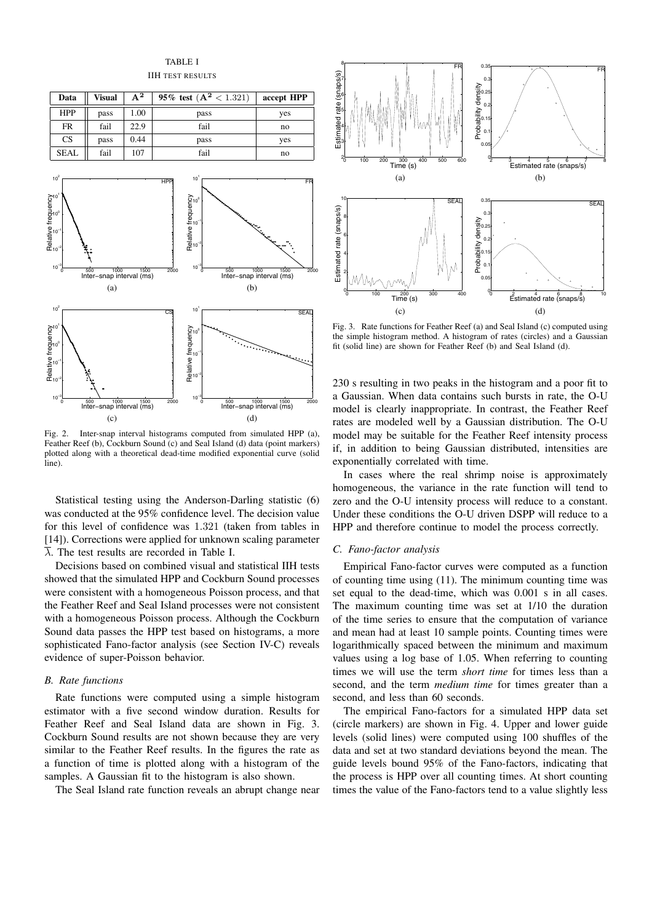

Fig. 2. Inter-snap interval histograms computed from simulated HPP (a), Feather Reef (b), Cockburn Sound (c) and Seal Island (d) data (point markers) plotted along with a theoretical dead-time modified exponential curve (solid line)

Statistical testing using the Anderson-Darling statistic (6) was conducted at the 95% confidence level. The decision value for this level of confidence was 1.321 (taken from tables in [14]). Corrections were applied for unknown scaling parameter  $\lambda$ . The test results are recorded in Table I.

Decisions based on combined visual and statistical IIH tests showed that the simulated HPP and Cockburn Sound processes were consistent with a homogeneous Poisson process, and that the Feather Reef and Seal Island processes were not consistent with a homogeneous Poisson process. Although the Cockburn Sound data passes the HPP test based on histograms, a more sophisticated Fano-factor analysis (see Section IV-C) reveals evidence of super-Poisson behavior.

## *B. Rate functions*

Rate functions were computed using a simple histogram estimator with a five second window duration. Results for Feather Reef and Seal Island data are shown in Fig. 3. Cockburn Sound results are not shown because they are very similar to the Feather Reef results. In the figures the rate as a function of time is plotted along with a histogram of the samples. A Gaussian fit to the histogram is also shown.

The Seal Island rate function reveals an abrupt change near

![](_page_3_Figure_7.jpeg)

Fig. 3. Rate functions for Feather Reef (a) and Seal Island (c) computed using the simple histogram method. A histogram of rates (circles) and a Gaussian fit (solid line) are shown for Feather Reef (b) and Seal Island (d).

230 s resulting in two peaks in the histogram and a poor fit to a Gaussian. When data contains such bursts in rate, the O-U model is clearly inappropriate. In contrast, the Feather Reef rates are modeled well by a Gaussian distribution. The O-U model may be suitable for the Feather Reef intensity process if, in addition to being Gaussian distributed, intensities are exponentially correlated with time.

In cases where the real shrimp noise is approximately homogeneous, the variance in the rate function will tend to zero and the O-U intensity process will reduce to a constant. Under these conditions the O-U driven DSPP will reduce to a HPP and therefore continue to model the process correctly.

#### *C. Fano-factor analysis*

Empirical Fano-factor curves were computed as a function of counting time using (11). The minimum counting time was set equal to the dead-time, which was 0.001 s in all cases. The maximum counting time was set at 1/10 the duration of the time series to ensure that the computation of variance and mean had at least 10 sample points. Counting times were logarithmically spaced between the minimum and maximum values using a log base of 1.05. When referring to counting times we will use the term *short time* for times less than a second, and the term *medium time* for times greater than a second, and less than 60 seconds.

The empirical Fano-factors for a simulated HPP data set (circle markers) are shown in Fig. 4. Upper and lower guide levels (solid lines) were computed using 100 shuffles of the data and set at two standard deviations beyond the mean. The guide levels bound 95% of the Fano-factors, indicating that the process is HPP over all counting times. At short counting times the value of the Fano-factors tend to a value slightly less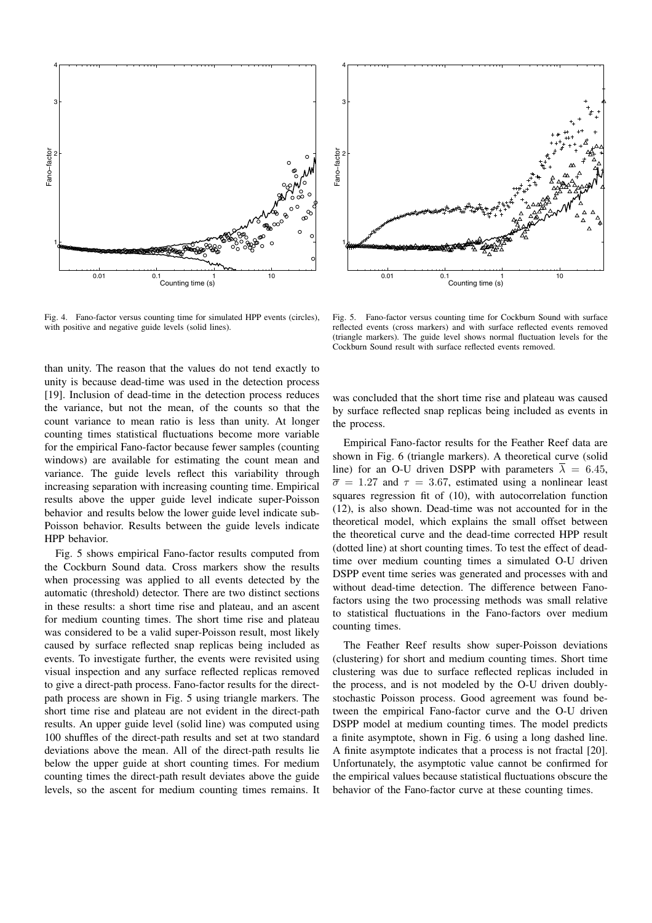![](_page_4_Figure_0.jpeg)

Fig. 4. Fano-factor versus counting time for simulated HPP events (circles), with positive and negative guide levels (solid lines).

![](_page_4_Figure_2.jpeg)

Fig. 5. Fano-factor versus counting time for Cockburn Sound with surface reflected events (cross markers) and with surface reflected events removed (triangle markers). The guide level shows normal fluctuation levels for the Cockburn Sound result with surface reflected events removed.

than unity. The reason that the values do not tend exactly to unity is because dead-time was used in the detection process [19]. Inclusion of dead-time in the detection process reduces the variance, but not the mean, of the counts so that the count variance to mean ratio is less than unity. At longer counting times statistical fluctuations become more variable for the empirical Fano-factor because fewer samples (counting windows) are available for estimating the count mean and variance. The guide levels reflect this variability through increasing separation with increasing counting time. Empirical results above the upper guide level indicate super-Poisson behavior and results below the lower guide level indicate sub-Poisson behavior. Results between the guide levels indicate HPP behavior.

Fig. 5 shows empirical Fano-factor results computed from the Cockburn Sound data. Cross markers show the results when processing was applied to all events detected by the automatic (threshold) detector. There are two distinct sections in these results: a short time rise and plateau, and an ascent for medium counting times. The short time rise and plateau was considered to be a valid super-Poisson result, most likely caused by surface reflected snap replicas being included as events. To investigate further, the events were revisited using visual inspection and any surface reflected replicas removed to give a direct-path process. Fano-factor results for the directpath process are shown in Fig. 5 using triangle markers. The short time rise and plateau are not evident in the direct-path results. An upper guide level (solid line) was computed using 100 shuffles of the direct-path results and set at two standard deviations above the mean. All of the direct-path results lie below the upper guide at short counting times. For medium counting times the direct-path result deviates above the guide levels, so the ascent for medium counting times remains. It

was concluded that the short time rise and plateau was caused by surface reflected snap replicas being included as events in the process.

Empirical Fano-factor results for the Feather Reef data are shown in Fig. 6 (triangle markers). A theoretical curve (solid line) for an O-U driven DSPP with parameters  $\overline{\lambda} = 6.45$ ,  $\overline{\sigma} = 1.27$  and  $\tau = 3.67$ , estimated using a nonlinear least squares regression fit of (10), with autocorrelation function (12), is also shown. Dead-time was not accounted for in the theoretical model, which explains the small offset between the theoretical curve and the dead-time corrected HPP result (dotted line) at short counting times. To test the effect of deadtime over medium counting times a simulated O-U driven DSPP event time series was generated and processes with and without dead-time detection. The difference between Fanofactors using the two processing methods was small relative to statistical fluctuations in the Fano-factors over medium counting times.

The Feather Reef results show super-Poisson deviations (clustering) for short and medium counting times. Short time clustering was due to surface reflected replicas included in the process, and is not modeled by the O-U driven doublystochastic Poisson process. Good agreement was found between the empirical Fano-factor curve and the O-U driven DSPP model at medium counting times. The model predicts a finite asymptote, shown in Fig. 6 using a long dashed line. A finite asymptote indicates that a process is not fractal [20]. Unfortunately, the asymptotic value cannot be confirmed for the empirical values because statistical fluctuations obscure the behavior of the Fano-factor curve at these counting times.